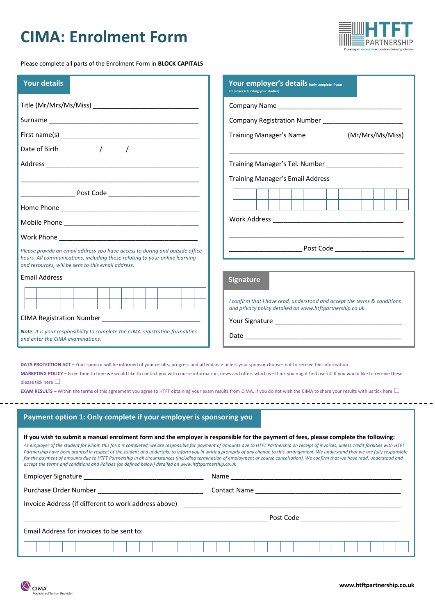## **CIMA: Enrolment Form**



Please complete all parts of the Enrolment Form in **BLOCK CAPITALS**

| <b>Your details</b>                                                                                                                                                                 | Your employer's details (only complete if your<br>employer is funding your studies)                                                                                                                                                                                                                                                                                                                                                                                                                                                                                                                                                                                                                               |  |  |  |  |  |  |  |  |
|-------------------------------------------------------------------------------------------------------------------------------------------------------------------------------------|-------------------------------------------------------------------------------------------------------------------------------------------------------------------------------------------------------------------------------------------------------------------------------------------------------------------------------------------------------------------------------------------------------------------------------------------------------------------------------------------------------------------------------------------------------------------------------------------------------------------------------------------------------------------------------------------------------------------|--|--|--|--|--|--|--|--|
|                                                                                                                                                                                     |                                                                                                                                                                                                                                                                                                                                                                                                                                                                                                                                                                                                                                                                                                                   |  |  |  |  |  |  |  |  |
|                                                                                                                                                                                     |                                                                                                                                                                                                                                                                                                                                                                                                                                                                                                                                                                                                                                                                                                                   |  |  |  |  |  |  |  |  |
|                                                                                                                                                                                     | <b>Training Manager's Name</b><br>(Mr/Mrs/Ms/Miss)                                                                                                                                                                                                                                                                                                                                                                                                                                                                                                                                                                                                                                                                |  |  |  |  |  |  |  |  |
| $\sqrt{2}$<br>Date of Birth                                                                                                                                                         |                                                                                                                                                                                                                                                                                                                                                                                                                                                                                                                                                                                                                                                                                                                   |  |  |  |  |  |  |  |  |
|                                                                                                                                                                                     |                                                                                                                                                                                                                                                                                                                                                                                                                                                                                                                                                                                                                                                                                                                   |  |  |  |  |  |  |  |  |
|                                                                                                                                                                                     | <b>Training Manager's Email Address</b>                                                                                                                                                                                                                                                                                                                                                                                                                                                                                                                                                                                                                                                                           |  |  |  |  |  |  |  |  |
|                                                                                                                                                                                     |                                                                                                                                                                                                                                                                                                                                                                                                                                                                                                                                                                                                                                                                                                                   |  |  |  |  |  |  |  |  |
|                                                                                                                                                                                     |                                                                                                                                                                                                                                                                                                                                                                                                                                                                                                                                                                                                                                                                                                                   |  |  |  |  |  |  |  |  |
|                                                                                                                                                                                     |                                                                                                                                                                                                                                                                                                                                                                                                                                                                                                                                                                                                                                                                                                                   |  |  |  |  |  |  |  |  |
|                                                                                                                                                                                     |                                                                                                                                                                                                                                                                                                                                                                                                                                                                                                                                                                                                                                                                                                                   |  |  |  |  |  |  |  |  |
| Please provide an email address you have access to during and outside office<br>hours. All communications, including those relating to your online learning                         |                                                                                                                                                                                                                                                                                                                                                                                                                                                                                                                                                                                                                                                                                                                   |  |  |  |  |  |  |  |  |
| and resources, will be sent to this email address.                                                                                                                                  |                                                                                                                                                                                                                                                                                                                                                                                                                                                                                                                                                                                                                                                                                                                   |  |  |  |  |  |  |  |  |
| <b>Email Address</b>                                                                                                                                                                | <b>Signature</b>                                                                                                                                                                                                                                                                                                                                                                                                                                                                                                                                                                                                                                                                                                  |  |  |  |  |  |  |  |  |
|                                                                                                                                                                                     | I confirm that I have read, understood and accept the terms & conditions                                                                                                                                                                                                                                                                                                                                                                                                                                                                                                                                                                                                                                          |  |  |  |  |  |  |  |  |
|                                                                                                                                                                                     | and privacy policy detailed on www.htftpartnership.co.uk                                                                                                                                                                                                                                                                                                                                                                                                                                                                                                                                                                                                                                                          |  |  |  |  |  |  |  |  |
|                                                                                                                                                                                     |                                                                                                                                                                                                                                                                                                                                                                                                                                                                                                                                                                                                                                                                                                                   |  |  |  |  |  |  |  |  |
| Note: It is your responsibility to complete the CIMA registration formalities<br>and enter the CIMA examinations.                                                                   |                                                                                                                                                                                                                                                                                                                                                                                                                                                                                                                                                                                                                                                                                                                   |  |  |  |  |  |  |  |  |
| DATA PROTECTION ACT - Your sponsor will be informed of your results, progress and attendance unless your sponsor chooses not to receive this information<br>please tick here $\Box$ | MARKETING POLICY - From time to time we would like to contact you with course information, news and offers which we think you might find useful. If you would like to receive these<br><b>EXAM RESULTS</b> – Within the terms of this agreement you agree to HTFT obtaining your exam results from CIMA. If you do not wish the CIMA to share your results with us tick here $\Box$                                                                                                                                                                                                                                                                                                                               |  |  |  |  |  |  |  |  |
| Payment option 1: Only complete if your employer is sponsoring you                                                                                                                  |                                                                                                                                                                                                                                                                                                                                                                                                                                                                                                                                                                                                                                                                                                                   |  |  |  |  |  |  |  |  |
| accept the terms and conditions and Policies (as defined below) detailed on www.htftpartnership.co.uk                                                                               | If you wish to submit a manual enrolment form and the employer is responsible for the payment of fees, please complete the following:<br>As employer of the student for whom this form is completed, we are responsible for payment of amounts due to HTFT Partnership on receipt of invoices, unless credit facilities with HTFT<br>Partnership have been granted in respect of the student and undertake to inform you in writing promptly of any change to this arrangement. We understand that we are fully responsible<br>for the payment of amounts due to HTFT Partnership in all circumstances (including termination of employment or course cancellation). We confirm that we have read, understood and |  |  |  |  |  |  |  |  |
|                                                                                                                                                                                     |                                                                                                                                                                                                                                                                                                                                                                                                                                                                                                                                                                                                                                                                                                                   |  |  |  |  |  |  |  |  |
|                                                                                                                                                                                     |                                                                                                                                                                                                                                                                                                                                                                                                                                                                                                                                                                                                                                                                                                                   |  |  |  |  |  |  |  |  |
|                                                                                                                                                                                     |                                                                                                                                                                                                                                                                                                                                                                                                                                                                                                                                                                                                                                                                                                                   |  |  |  |  |  |  |  |  |
|                                                                                                                                                                                     |                                                                                                                                                                                                                                                                                                                                                                                                                                                                                                                                                                                                                                                                                                                   |  |  |  |  |  |  |  |  |